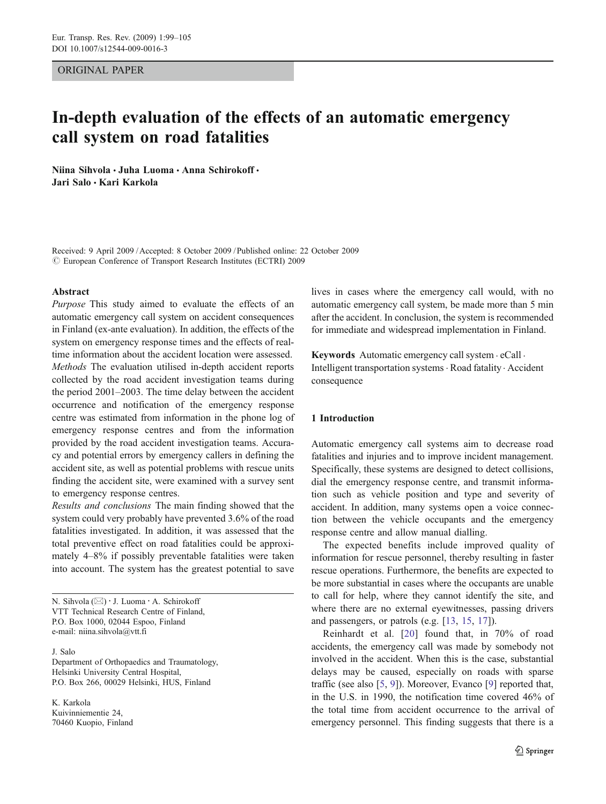#### ORIGINAL PAPER

# In-depth evaluation of the effects of an automatic emergency call system on road fatalities

Niina Sihvola • Juha Luoma • Anna Schirokoff • Jari Salo · Kari Karkola

Received: 9 April 2009 /Accepted: 8 October 2009 / Published online: 22 October 2009  $\circ$  European Conference of Transport Research Institutes (ECTRI) 2009

#### Abstract

Purpose This study aimed to evaluate the effects of an automatic emergency call system on accident consequences in Finland (ex-ante evaluation). In addition, the effects of the system on emergency response times and the effects of realtime information about the accident location were assessed. Methods The evaluation utilised in-depth accident reports collected by the road accident investigation teams during the period 2001–2003. The time delay between the accident occurrence and notification of the emergency response centre was estimated from information in the phone log of emergency response centres and from the information provided by the road accident investigation teams. Accuracy and potential errors by emergency callers in defining the accident site, as well as potential problems with rescue units finding the accident site, were examined with a survey sent to emergency response centres.

Results and conclusions The main finding showed that the system could very probably have prevented 3.6% of the road fatalities investigated. In addition, it was assessed that the total preventive effect on road fatalities could be approximately 4–8% if possibly preventable fatalities were taken into account. The system has the greatest potential to save

N. Sihvola (*\**) : J. Luoma : A. Schirokoff VTT Technical Research Centre of Finland, P.O. Box 1000, 02044 Espoo, Finland e-mail: niina.sihvola@vtt.fi

J. Salo Department of Orthopaedics and Traumatology, Helsinki University Central Hospital, P.O. Box 266, 00029 Helsinki, HUS, Finland

K. Karkola Kuivinniementie 24, 70460 Kuopio, Finland lives in cases where the emergency call would, with no automatic emergency call system, be made more than 5 min after the accident. In conclusion, the system is recommended for immediate and widespread implementation in Finland.

Keywords Automatic emergency call system . eCall . Intelligent transportation systems. Road fatality . Accident consequence

## 1 Introduction

Automatic emergency call systems aim to decrease road fatalities and injuries and to improve incident management. Specifically, these systems are designed to detect collisions, dial the emergency response centre, and transmit information such as vehicle position and type and severity of accident. In addition, many systems open a voice connection between the vehicle occupants and the emergency response centre and allow manual dialling.

The expected benefits include improved quality of information for rescue personnel, thereby resulting in faster rescue operations. Furthermore, the benefits are expected to be more substantial in cases where the occupants are unable to call for help, where they cannot identify the site, and where there are no external eyewitnesses, passing drivers and passengers, or patrols (e.g. [\[13](#page-6-0), [15,](#page-6-0) [17\]](#page-6-0)).

Reinhardt et al. [[20\]](#page-6-0) found that, in 70% of road accidents, the emergency call was made by somebody not involved in the accident. When this is the case, substantial delays may be caused, especially on roads with sparse traffic (see also [\[5](#page-6-0), [9\]](#page-6-0)). Moreover, Evanco [\[9](#page-6-0)] reported that, in the U.S. in 1990, the notification time covered 46% of the total time from accident occurrence to the arrival of emergency personnel. This finding suggests that there is a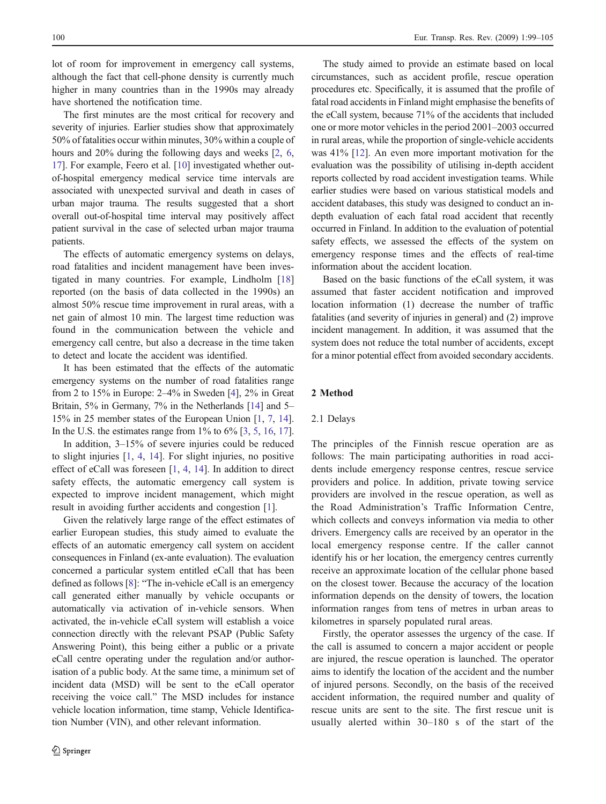lot of room for improvement in emergency call systems, although the fact that cell-phone density is currently much higher in many countries than in the 1990s may already have shortened the notification time.

The first minutes are the most critical for recovery and severity of injuries. Earlier studies show that approximately 50% of fatalities occur within minutes, 30% within a couple of hours and 20% during the following days and weeks [\[2](#page-6-0), [6,](#page-6-0) [17\]](#page-6-0). For example, Feero et al. [\[10\]](#page-6-0) investigated whether outof-hospital emergency medical service time intervals are associated with unexpected survival and death in cases of urban major trauma. The results suggested that a short overall out-of-hospital time interval may positively affect patient survival in the case of selected urban major trauma patients.

The effects of automatic emergency systems on delays, road fatalities and incident management have been investigated in many countries. For example, Lindholm [[18\]](#page-6-0) reported (on the basis of data collected in the 1990s) an almost 50% rescue time improvement in rural areas, with a net gain of almost 10 min. The largest time reduction was found in the communication between the vehicle and emergency call centre, but also a decrease in the time taken to detect and locate the accident was identified.

It has been estimated that the effects of the automatic emergency systems on the number of road fatalities range from 2 to 15% in Europe: 2–4% in Sweden [[4\]](#page-6-0), 2% in Great Britain, 5% in Germany, 7% in the Netherlands [\[14\]](#page-6-0) and 5– 15% in 25 member states of the European Union [[1,](#page-5-0) [7](#page-6-0), [14\]](#page-6-0). In the U.S. the estimates range from  $1\%$  to  $6\%$  [\[3,](#page-6-0) [5,](#page-6-0) [16,](#page-6-0) [17\]](#page-6-0).

In addition, 3–15% of severe injuries could be reduced to slight injuries [\[1](#page-5-0), [4](#page-6-0), [14](#page-6-0)]. For slight injuries, no positive effect of eCall was foreseen [\[1](#page-5-0), [4,](#page-6-0) [14\]](#page-6-0). In addition to direct safety effects, the automatic emergency call system is expected to improve incident management, which might result in avoiding further accidents and congestion [\[1](#page-5-0)].

Given the relatively large range of the effect estimates of earlier European studies, this study aimed to evaluate the effects of an automatic emergency call system on accident consequences in Finland (ex-ante evaluation). The evaluation concerned a particular system entitled eCall that has been defined as follows [\[8](#page-6-0)]: "The in-vehicle eCall is an emergency call generated either manually by vehicle occupants or automatically via activation of in-vehicle sensors. When activated, the in-vehicle eCall system will establish a voice connection directly with the relevant PSAP (Public Safety Answering Point), this being either a public or a private eCall centre operating under the regulation and/or authorisation of a public body. At the same time, a minimum set of incident data (MSD) will be sent to the eCall operator receiving the voice call." The MSD includes for instance vehicle location information, time stamp, Vehicle Identification Number (VIN), and other relevant information.

The study aimed to provide an estimate based on local circumstances, such as accident profile, rescue operation procedures etc. Specifically, it is assumed that the profile of fatal road accidents in Finland might emphasise the benefits of the eCall system, because 71% of the accidents that included one or more motor vehicles in the period 2001–2003 occurred in rural areas, while the proportion of single-vehicle accidents was 41% [[12\]](#page-6-0). An even more important motivation for the evaluation was the possibility of utilising in-depth accident reports collected by road accident investigation teams. While earlier studies were based on various statistical models and accident databases, this study was designed to conduct an indepth evaluation of each fatal road accident that recently occurred in Finland. In addition to the evaluation of potential safety effects, we assessed the effects of the system on emergency response times and the effects of real-time information about the accident location.

Based on the basic functions of the eCall system, it was assumed that faster accident notification and improved location information (1) decrease the number of traffic fatalities (and severity of injuries in general) and (2) improve incident management. In addition, it was assumed that the system does not reduce the total number of accidents, except for a minor potential effect from avoided secondary accidents.

## 2 Method

#### 2.1 Delays

The principles of the Finnish rescue operation are as follows: The main participating authorities in road accidents include emergency response centres, rescue service providers and police. In addition, private towing service providers are involved in the rescue operation, as well as the Road Administration's Traffic Information Centre, which collects and conveys information via media to other drivers. Emergency calls are received by an operator in the local emergency response centre. If the caller cannot identify his or her location, the emergency centres currently receive an approximate location of the cellular phone based on the closest tower. Because the accuracy of the location information depends on the density of towers, the location information ranges from tens of metres in urban areas to kilometres in sparsely populated rural areas.

Firstly, the operator assesses the urgency of the case. If the call is assumed to concern a major accident or people are injured, the rescue operation is launched. The operator aims to identify the location of the accident and the number of injured persons. Secondly, on the basis of the received accident information, the required number and quality of rescue units are sent to the site. The first rescue unit is usually alerted within 30–180 s of the start of the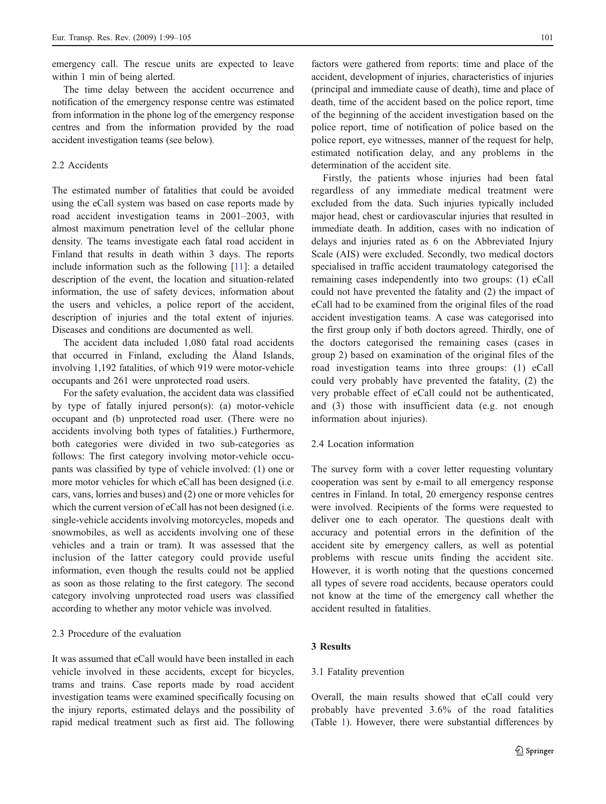emergency call. The rescue units are expected to leave within 1 min of being alerted.

The time delay between the accident occurrence and notification of the emergency response centre was estimated from information in the phone log of the emergency response centres and from the information provided by the road accident investigation teams (see below).

## 2.2 Accidents

The estimated number of fatalities that could be avoided using the eCall system was based on case reports made by road accident investigation teams in 2001–2003, with almost maximum penetration level of the cellular phone density. The teams investigate each fatal road accident in Finland that results in death within 3 days. The reports include information such as the following [\[11\]](#page-6-0): a detailed description of the event, the location and situation-related information, the use of safety devices, information about the users and vehicles, a police report of the accident, description of injuries and the total extent of injuries. Diseases and conditions are documented as well.

The accident data included 1,080 fatal road accidents that occurred in Finland, excluding the Åland Islands, involving 1,192 fatalities, of which 919 were motor-vehicle occupants and 261 were unprotected road users.

For the safety evaluation, the accident data was classified by type of fatally injured person(s): (a) motor-vehicle occupant and (b) unprotected road user. (There were no accidents involving both types of fatalities.) Furthermore, both categories were divided in two sub-categories as follows: The first category involving motor-vehicle occupants was classified by type of vehicle involved: (1) one or more motor vehicles for which eCall has been designed (i.e. cars, vans, lorries and buses) and (2) one or more vehicles for which the current version of eCall has not been designed (i.e. single-vehicle accidents involving motorcycles, mopeds and snowmobiles, as well as accidents involving one of these vehicles and a train or tram). It was assessed that the inclusion of the latter category could provide useful information, even though the results could not be applied as soon as those relating to the first category. The second category involving unprotected road users was classified according to whether any motor vehicle was involved.

# 2.3 Procedure of the evaluation

It was assumed that eCall would have been installed in each vehicle involved in these accidents, except for bicycles, trams and trains. Case reports made by road accident investigation teams were examined specifically focusing on the injury reports, estimated delays and the possibility of rapid medical treatment such as first aid. The following

factors were gathered from reports: time and place of the accident, development of injuries, characteristics of injuries (principal and immediate cause of death), time and place of death, time of the accident based on the police report, time of the beginning of the accident investigation based on the police report, time of notification of police based on the police report, eye witnesses, manner of the request for help, estimated notification delay, and any problems in the determination of the accident site.

Firstly, the patients whose injuries had been fatal regardless of any immediate medical treatment were excluded from the data. Such injuries typically included major head, chest or cardiovascular injuries that resulted in immediate death. In addition, cases with no indication of delays and injuries rated as 6 on the Abbreviated Injury Scale (AIS) were excluded. Secondly, two medical doctors specialised in traffic accident traumatology categorised the remaining cases independently into two groups: (1) eCall could not have prevented the fatality and (2) the impact of eCall had to be examined from the original files of the road accident investigation teams. A case was categorised into the first group only if both doctors agreed. Thirdly, one of the doctors categorised the remaining cases (cases in group 2) based on examination of the original files of the road investigation teams into three groups: (1) eCall could very probably have prevented the fatality, (2) the very probable effect of eCall could not be authenticated, and (3) those with insufficient data (e.g. not enough information about injuries).

## 2.4 Location information

The survey form with a cover letter requesting voluntary cooperation was sent by e-mail to all emergency response centres in Finland. In total, 20 emergency response centres were involved. Recipients of the forms were requested to deliver one to each operator. The questions dealt with accuracy and potential errors in the definition of the accident site by emergency callers, as well as potential problems with rescue units finding the accident site. However, it is worth noting that the questions concerned all types of severe road accidents, because operators could not know at the time of the emergency call whether the accident resulted in fatalities.

## 3 Results

#### 3.1 Fatality prevention

Overall, the main results showed that eCall could very probably have prevented 3.6% of the road fatalities (Table [1](#page-3-0)). However, there were substantial differences by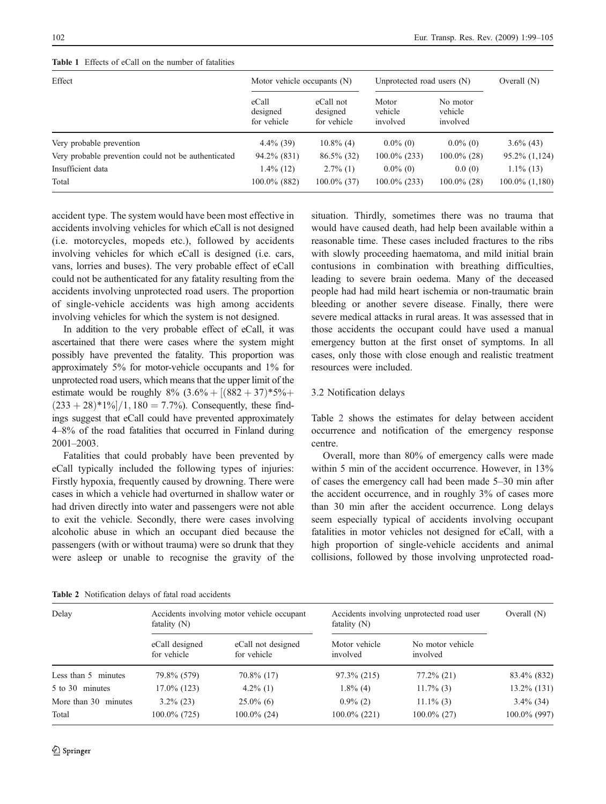<span id="page-3-0"></span>

| <b>Table 1</b> Effects of eCall on the number of fatalities |
|-------------------------------------------------------------|
|-------------------------------------------------------------|

| Effect                                              | Motor vehicle occupants (N)      |                                      | Unprotected road users $(N)$ |                                 | Overall $(N)$       |
|-----------------------------------------------------|----------------------------------|--------------------------------------|------------------------------|---------------------------------|---------------------|
|                                                     | eCall<br>designed<br>for vehicle | eCall not<br>designed<br>for vehicle | Motor<br>vehicle<br>involved | No motor<br>vehicle<br>involved |                     |
| Very probable prevention                            | $4.4\%$ (39)                     | $10.8\%$ (4)                         | $0.0\%$ (0)                  | $0.0\%$ (0)                     | $3.6\%$ (43)        |
| Very probable prevention could not be authenticated | 94.2% (831)                      | $86.5\%$ (32)                        | $100.0\%$ (233)              | $100.0\%$ (28)                  | $95.2\%$ (1,124)    |
| Insufficient data                                   | $1.4\%$ (12)                     | $2.7\%$ (1)                          | $0.0\%$ (0)                  | 0.0(0)                          | $1.1\%$ (13)        |
| Total                                               | 100.0% (882)                     | $100.0\%$ (37)                       | $100.0\%$ (233)              | $100.0\%$ (28)                  | $100.0\%$ $(1,180)$ |

accident type. The system would have been most effective in accidents involving vehicles for which eCall is not designed (i.e. motorcycles, mopeds etc.), followed by accidents involving vehicles for which eCall is designed (i.e. cars, vans, lorries and buses). The very probable effect of eCall could not be authenticated for any fatality resulting from the accidents involving unprotected road users. The proportion of single-vehicle accidents was high among accidents involving vehicles for which the system is not designed.

In addition to the very probable effect of eCall, it was ascertained that there were cases where the system might possibly have prevented the fatality. This proportion was approximately 5% for motor-vehicle occupants and 1% for unprotected road users, which means that the upper limit of the estimate would be roughly 8%  $(3.6\% + [(882 + 37) * 5\% +$  $(233 + 28) * 1\frac{1}{6}$  / 1, 180 = 7.7%). Consequently, these findings suggest that eCall could have prevented approximately 4–8% of the road fatalities that occurred in Finland during 2001–2003.

Fatalities that could probably have been prevented by eCall typically included the following types of injuries: Firstly hypoxia, frequently caused by drowning. There were cases in which a vehicle had overturned in shallow water or had driven directly into water and passengers were not able to exit the vehicle. Secondly, there were cases involving alcoholic abuse in which an occupant died because the passengers (with or without trauma) were so drunk that they were asleep or unable to recognise the gravity of the situation. Thirdly, sometimes there was no trauma that would have caused death, had help been available within a reasonable time. These cases included fractures to the ribs with slowly proceeding haematoma, and mild initial brain contusions in combination with breathing difficulties, leading to severe brain oedema. Many of the deceased people had had mild heart ischemia or non-traumatic brain bleeding or another severe disease. Finally, there were severe medical attacks in rural areas. It was assessed that in those accidents the occupant could have used a manual emergency button at the first onset of symptoms. In all cases, only those with close enough and realistic treatment resources were included.

#### 3.2 Notification delays

Table 2 shows the estimates for delay between accident occurrence and notification of the emergency response centre.

Overall, more than 80% of emergency calls were made within 5 min of the accident occurrence. However, in  $13\%$ of cases the emergency call had been made 5–30 min after the accident occurrence, and in roughly 3% of cases more than 30 min after the accident occurrence. Long delays seem especially typical of accidents involving occupant fatalities in motor vehicles not designed for eCall, with a high proportion of single-vehicle accidents and animal collisions, followed by those involving unprotected road-

Table 2 Notification delays of fatal road accidents

| Delay                | Accidents involving motor vehicle occupant<br>fatality $(N)$ |                                   | Accidents involving unprotected road user<br>fatality $(N)$ | Overall $(N)$                |              |
|----------------------|--------------------------------------------------------------|-----------------------------------|-------------------------------------------------------------|------------------------------|--------------|
|                      | eCall designed<br>for vehicle                                | eCall not designed<br>for vehicle | Motor vehicle<br>involved                                   | No motor vehicle<br>involved |              |
| Less than 5 minutes  | 79.8% (579)                                                  | $70.8\%$ (17)                     | 97.3% (215)                                                 | $77.2\%$ (21)                | 83.4% (832)  |
| 5 to 30 minutes      | 17.0% (123)                                                  | $4.2\%$ (1)                       | $1.8\%$ (4)                                                 | $11.7\%$ (3)                 | 13.2% (131)  |
| More than 30 minutes | $3.2\%$ (23)                                                 | $25.0\%$ (6)                      | $0.9\%$ (2)                                                 | $11.1\%$ (3)                 | $3.4\%$ (34) |
| Total                | $100.0\%$ (725)                                              | $100.0\%$ (24)                    | $100.0\%$ (221)                                             | $100.0\%$ (27)               | 100.0% (997) |
|                      |                                                              |                                   |                                                             |                              |              |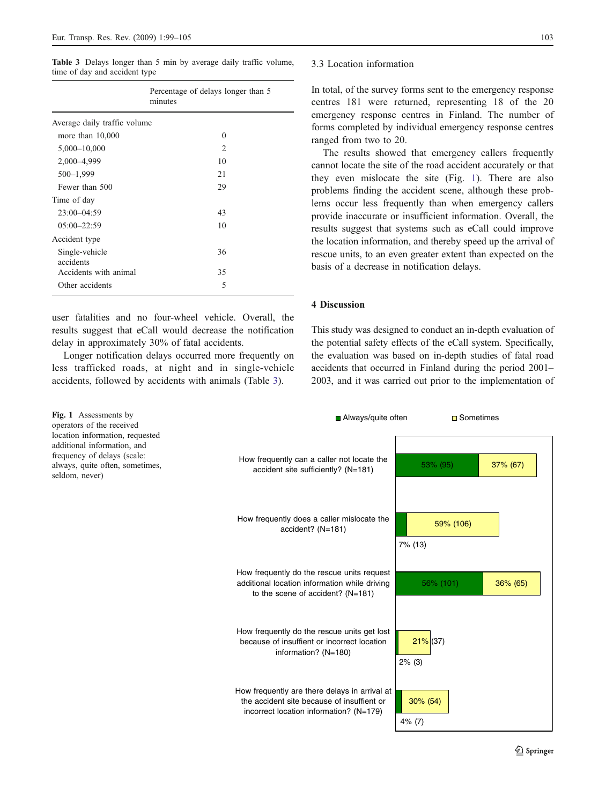Table 3 Delays longer than 5 min by average daily traffic volume, time of day and accident type

|                              | Percentage of delays longer than 5<br>minutes |  |  |  |  |
|------------------------------|-----------------------------------------------|--|--|--|--|
| Average daily traffic volume |                                               |  |  |  |  |
| more than $10,000$           | 0                                             |  |  |  |  |
| $5,000 - 10,000$             | $\mathfrak{D}$                                |  |  |  |  |
| 2,000-4,999                  | 10                                            |  |  |  |  |
| $500 - 1,999$                | 21                                            |  |  |  |  |
| Fewer than 500               | 29                                            |  |  |  |  |
| Time of day                  |                                               |  |  |  |  |
| 23:00-04:59                  | 43                                            |  |  |  |  |
| $05:00 - 22:59$              | 10                                            |  |  |  |  |
| Accident type                |                                               |  |  |  |  |
| Single-vehicle<br>accidents  | 36                                            |  |  |  |  |
| Accidents with animal        | 35                                            |  |  |  |  |
| Other accidents              | 5                                             |  |  |  |  |

user fatalities and no four-wheel vehicle. Overall, the results suggest that eCall would decrease the notification delay in approximately 30% of fatal accidents.

Longer notification delays occurred more frequently on less trafficked roads, at night and in single-vehicle accidents, followed by accidents with animals (Table 3).

#### 3.3 Location information

In total, of the survey forms sent to the emergency response centres 181 were returned, representing 18 of the 20 emergency response centres in Finland. The number of forms completed by individual emergency response centres ranged from two to 20.

The results showed that emergency callers frequently cannot locate the site of the road accident accurately or that they even mislocate the site (Fig. 1). There are also problems finding the accident scene, although these problems occur less frequently than when emergency callers provide inaccurate or insufficient information. Overall, the results suggest that systems such as eCall could improve the location information, and thereby speed up the arrival of rescue units, to an even greater extent than expected on the basis of a decrease in notification delays.

## 4 Discussion

This study was designed to conduct an in-depth evaluation of the potential safety effects of the eCall system. Specifically, the evaluation was based on in-depth studies of fatal road accidents that occurred in Finland during the period 2001– 2003, and it was carried out prior to the implementation of

| Fig. 1 Assessments by<br>operators of the received                                                                                                 | ■ Always/quite often                                                                                                                   | $\Box$ Sometimes         |  |
|----------------------------------------------------------------------------------------------------------------------------------------------------|----------------------------------------------------------------------------------------------------------------------------------------|--------------------------|--|
| location information, requested<br>additional information, and<br>frequency of delays (scale:<br>always, quite often, sometimes,<br>seldom, never) | How frequently can a caller not locate the<br>accident site sufficiently? (N=181)                                                      | 53% (95)<br>37% (67)     |  |
|                                                                                                                                                    | How frequently does a caller mislocate the<br>accident? (N=181)                                                                        | 59% (106)<br>7% (13)     |  |
|                                                                                                                                                    | How frequently do the rescue units request<br>additional location information while driving<br>to the scene of accident? $(N=181)$     | 36% (65)<br>56% (101)    |  |
|                                                                                                                                                    | How frequently do the rescue units get lost<br>because of insuffient or incorrect location<br>information? (N=180)                     | $21\%$ (37)<br>$2\%$ (3) |  |
|                                                                                                                                                    | How frequently are there delays in arrival at<br>the accident site because of insuffient or<br>incorrect location information? (N=179) | 30% (54)<br>$4\%$ (7)    |  |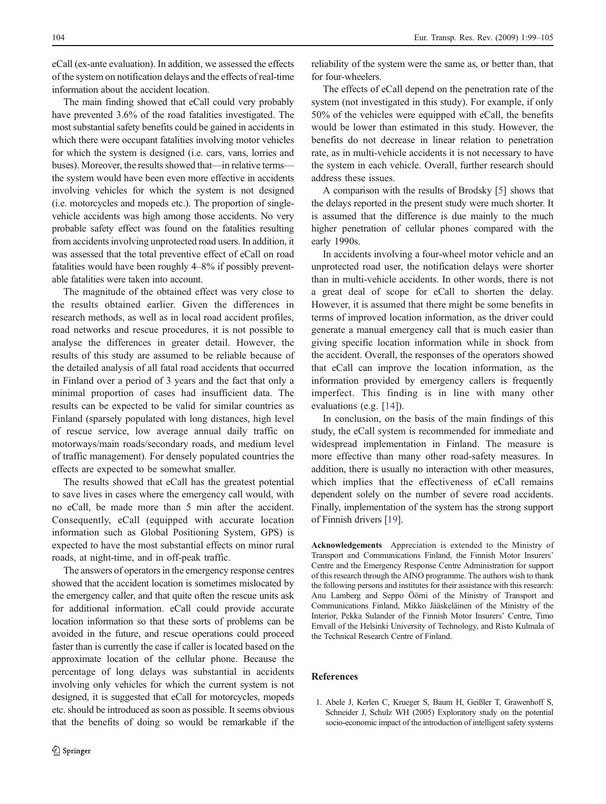<span id="page-5-0"></span>eCall (ex-ante evaluation). In addition, we assessed the effects of the system on notification delays and the effects of real-time information about the accident location.

The main finding showed that eCall could very probably have prevented 3.6% of the road fatalities investigated. The most substantial safety benefits could be gained in accidents in which there were occupant fatalities involving motor vehicles for which the system is designed (i.e. cars, vans, lorries and buses). Moreover, the results showed that—in relative terms the system would have been even more effective in accidents involving vehicles for which the system is not designed (i.e. motorcycles and mopeds etc.). The proportion of singlevehicle accidents was high among those accidents. No very probable safety effect was found on the fatalities resulting from accidents involving unprotected road users. In addition, it was assessed that the total preventive effect of eCall on road fatalities would have been roughly 4–8% if possibly preventable fatalities were taken into account.

The magnitude of the obtained effect was very close to the results obtained earlier. Given the differences in research methods, as well as in local road accident profiles, road networks and rescue procedures, it is not possible to analyse the differences in greater detail. However, the results of this study are assumed to be reliable because of the detailed analysis of all fatal road accidents that occurred in Finland over a period of 3 years and the fact that only a minimal proportion of cases had insufficient data. The results can be expected to be valid for similar countries as Finland (sparsely populated with long distances, high level of rescue service, low average annual daily traffic on motorways/main roads/secondary roads, and medium level of traffic management). For densely populated countries the effects are expected to be somewhat smaller.

The results showed that eCall has the greatest potential to save lives in cases where the emergency call would, with no eCall, be made more than 5 min after the accident. Consequently, eCall (equipped with accurate location information such as Global Positioning System, GPS) is expected to have the most substantial effects on minor rural roads, at night-time, and in off-peak traffic.

The answers of operators in the emergency response centres showed that the accident location is sometimes mislocated by the emergency caller, and that quite often the rescue units ask for additional information. eCall could provide accurate location information so that these sorts of problems can be avoided in the future, and rescue operations could proceed faster than is currently the case if caller is located based on the approximate location of the cellular phone. Because the percentage of long delays was substantial in accidents involving only vehicles for which the current system is not designed, it is suggested that eCall for motorcycles, mopeds etc. should be introduced as soon as possible. It seems obvious that the benefits of doing so would be remarkable if the reliability of the system were the same as, or better than, that for four-wheelers.

The effects of eCall depend on the penetration rate of the system (not investigated in this study). For example, if only 50% of the vehicles were equipped with eCall, the benefits would be lower than estimated in this study. However, the benefits do not decrease in linear relation to penetration rate, as in multi-vehicle accidents it is not necessary to have the system in each vehicle. Overall, further research should address these issues.

A comparison with the results of Brodsky [[5\]](#page-6-0) shows that the delays reported in the present study were much shorter. It is assumed that the difference is due mainly to the much higher penetration of cellular phones compared with the early 1990s.

In accidents involving a four-wheel motor vehicle and an unprotected road user, the notification delays were shorter than in multi-vehicle accidents. In other words, there is not a great deal of scope for eCall to shorten the delay. However, it is assumed that there might be some benefits in terms of improved location information, as the driver could generate a manual emergency call that is much easier than giving specific location information while in shock from the accident. Overall, the responses of the operators showed that eCall can improve the location information, as the information provided by emergency callers is frequently imperfect. This finding is in line with many other evaluations (e.g. [[14\]](#page-6-0)).

In conclusion, on the basis of the main findings of this study, the eCall system is recommended for immediate and widespread implementation in Finland. The measure is more effective than many other road-safety measures. In addition, there is usually no interaction with other measures, which implies that the effectiveness of eCall remains dependent solely on the number of severe road accidents. Finally, implementation of the system has the strong support of Finnish drivers [\[19\]](#page-6-0).

Acknowledgements Appreciation is extended to the Ministry of Transport and Communications Finland, the Finnish Motor Insurers' Centre and the Emergency Response Centre Administration for support of this research through the AINO programme. The authors wish to thank the following persons and institutes for their assistance with this research: Anu Lamberg and Seppo Öörni of the Ministry of Transport and Communications Finland, Mikko Jääskeläinen of the Ministry of the Interior, Pekka Sulander of the Finnish Motor Insurers' Centre, Timo Ernvall of the Helsinki University of Technology, and Risto Kulmala of the Technical Research Centre of Finland.

## References

1. Abele J, Kerlen C, Krueger S, Baum H, Geißler T, Grawenhoff S, Schneider J, Schulz WH (2005) Exploratory study on the potential socio-economic impact of the introduction of intelligent safety systems